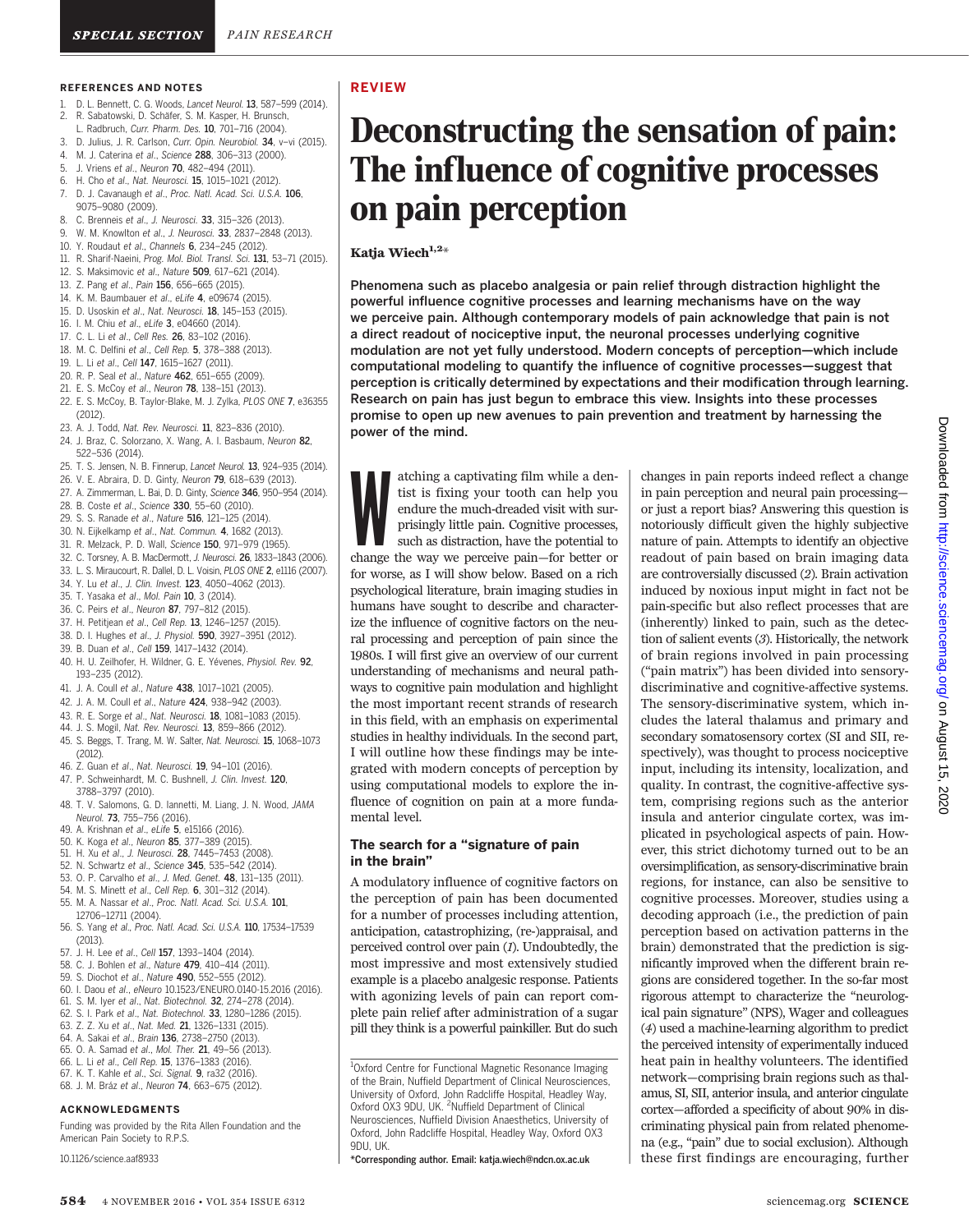#### REFERENCES AND NOTES

- 1. D. L. Bennett, C. G. Woods, Lancet Neurol. 13, 587–599 (2014).<br>2. R. Sabatowski, D. Schäfer, S. M. Kasner, H. Brunsch.
- 2. R. Sabatowski, D. Schäfer, S. M. Kasper, H. Brunsch,
- L. Radbruch, Curr. Pharm. Des. 10, 701–716 (2004).
- 3. D. Julius, J. R. Carlson, Curr. Opin. Neurobiol. 34, v–vi (2015).
- 4. M. J. Caterina et al., Science 288, 306–313 (2000).
- 5. J. Vriens et al., Neuron **70**, 482-494 (2011).<br>6. H. Cho et al., Nat. Neurosci. **15**, 1015-1021 (
- 6. H. Cho et al., Nat. Neurosci. 15, 1015–1021 (2012).
- 7. D. J. Cavanaugh et al., Proc. Natl. Acad. Sci. U.S.A. 106. 9075–9080 (2009).
- 8. C. Brenneis et al., J. Neurosci. 33, 315–326 (2013).
- 9. W. M. Knowlton et al., J. Neurosci. 33, 2837–2848 (2013).
- 10. Y. Roudaut et al., Channels 6, 234–245 (2012).
- 11. R. Sharif-Naeini, Prog. Mol. Biol. Transl. Sci. 131, 53–71 (2015).
- 12. S. Maksimovic et al., Nature 509, 617–621 (2014).
- 13. Z. Pang et al., Pain 156, 656-665 (2015).
- 14. K. M. Baumbauer et al., eLife 4, e09674 (2015).
- 15. D. Usoskin et al., Nat. Neurosci. 18, 145–153 (2015).
- 16. I. M. Chiu et al., eLife 3, e04660 (2014).
- 17. C. L. Li et al., Cell Res. 26, 83–102 (2016).
- 18. M. C. Delfini et al., Cell Rep. 5, 378–388 (2013).
- 19. L. Li et al., Cell 147, 1615–1627 (2011).
- 
- 20. R. P. Seal et al., Nature 462, 651–655 (2009). 21. E. S. McCoy et al., Neuron 78, 138–151 (2013).
- 22. E. S. McCoy, B. Taylor-Blake, M. J. Zylka, PLOS ONE 7, e36355 (2012).
- 23. A. J. Todd, Nat. Rev. Neurosci. 11, 823–836 (2010).
- 24. J. Braz, C. Solorzano, X. Wang, A. I. Basbaum, Neuron 82, 522–536 (2014).
- 25. T. S. Jensen, N. B. Finnerup, Lancet Neurol. 13, 924–935 (2014).
- 26. V. E. Abraira, D. D. Ginty, Neuron 79, 618–639 (2013).
- 27. A. Zimmerman, L. Bai, D. D. Ginty, Science 346, 950–954 (2014).
- 28. B. Coste et al., Science 330, 55–60 (2010).
- 29. S. S. Ranade et al., Nature 516, 121–125 (2014).
- 30. N. Eijkelkamp et al., Nat. Commun. 4, 1682 (2013).
- 31. R. Melzack, P. D. Wall, Science 150, 971–979 (1965).
- 32. C. Torsney, A. B. MacDermott, J. Neurosci. 26, 1833–1843 (2006).
- 33. L. S. Miraucourt, R. Dallel, D. L. Voisin, PLOS ONE 2, e1116 (2007).
- 34. Y. Lu et al., J. Clin. Invest. 123, 4050–4062 (2013).
- 35. T. Yasaka et al., Mol. Pain 10, 3 (2014).
- 36. C. Peirs et al., Neuron 87, 797–812 (2015).
- 37. H. Petitjean et al., Cell Rep. 13, 1246–1257 (2015).
- 38. D. I. Hughes et al., J. Physiol. 590, 3927–3951 (2012).
- 39. B. Duan et al., Cell 159, 1417–1432 (2014).
- 40. H. U. Zeilhofer, H. Wildner, G. E. Yévenes, Physiol. Rev. 92, 193–235 (2012).
- 41. J. A. Coull et al., Nature 438, 1017–1021 (2005).
- 42. J. A. M. Coull et al., Nature 424, 938–942 (2003).
- 43. R. E. Sorge et al., Nat. Neurosci. 18, 1081–1083 (2015).
- 44. J. S. Mogil, Nat. Rev. Neurosci. 13, 859–866 (2012).
- 45. S. Beggs, T. Trang, M. W. Salter, Nat. Neurosci. 15, 1068–1073 (2012).
- 46. Z. Guan et al., Nat. Neurosci. 19, 94–101 (2016). 47. P. Schweinhardt, M. C. Bushnell, J. Clin. Invest. 120, 3788–3797 (2010).
- 48. T. V. Salomons, G. D. Iannetti, M. Liang, J. N. Wood, JAMA Neurol. 73, 755–756 (2016).
- 49. A. Krishnan et al., eLife 5, e15166 (2016).
- 50. K. Koga et al., Neuron 85, 377–389 (2015).
- 51. H. Xu et al., J. Neurosci. 28, 7445–7453 (2008).
- 52. N. Schwartz et al., Science 345, 535–542 (2014).
- 53. O. P. Carvalho et al., J. Med. Genet. 48, 131–135 (2011).
- 54. M. S. Minett et al., Cell Rep. 6, 301–312 (2014).
- 55. M. A. Nassar et al., Proc. Natl. Acad. Sci. U.S.A. 101, 12706–12711 (2004).
- 56. S. Yang et al., Proc. Natl. Acad. Sci. U.S.A. 110, 17534–17539 (2013).
- 57. J. H. Lee et al., Cell 157, 1393–1404 (2014).
- 58. C. J. Bohlen et al., Nature 479, 410–414 (2011).
- 59. S. Diochot et al., Nature 490, 552–555 (2012).
- 60. I. Daou et al., eNeuro 10.1523/ENEURO.0140-15.2016 (2016).
- 61. S. M. Iyer et al., Nat. Biotechnol. 32, 274–278 (2014).
- 62. S. I. Park et al., Nat. Biotechnol. 33, 1280–1286 (2015).
- 63. Z. Z. Xu et al., Nat. Med. 21, 1326–1331 (2015).
- 64. A. Sakai et al., Brain 136, 2738–2750 (2013).
- 65. O. A. Samad et al., Mol. Ther. 21, 49–56 (2013).
- 66. L. Li et al., Cell Rep. 15, 1376–1383 (2016).
- 67. K. T. Kahle et al., Sci. Signal. 9, ra32 (2016). 68. J. M. Bráz et al., Neuron 74, 663–675 (2012).

## ACKNOWLEDGMENTS

Funding was provided by the Rita Allen Foundation and the American Pain Society to R.P.S.

10.1126/science.aaf8933

## REVIEW

# Deconstructing the sensation of pain:<br>The influence of cognitive processes The influence of cognition<br>The influence of processes  $\Gamma$  and  $\Gamma$  and  $\Gamma$  and  $\Gamma$  and  $\Gamma$  and  $\Gamma$  and  $\Gamma$

## Katia Wiech $^{1,2*}$

Phenomena such as placebo analgesia or pain relief through distraction highlight the powerful influence cognitive processes and learning mechanisms have on the way we perceive pain. Although contemporary models of pain acknowledge that pain is not a direct readout of nociceptive input, the neuronal processes underlying cognitive modulation are not yet fully understood. Modern concepts of perception—which include computational modeling to quantify the influence of cognitive processes—suggest that perception is critically determined by expectations and their modification through learning. Research on pain has just begun to embrace this view. Insights into these processes promise to open up new avenues to pain prevention and treatment by harnessing the power of the mind.

atching a captivating film while a dentist is fixing your tooth can help you endure the much-dreaded visit with surprisingly little pain. Cognitive processes, such as distraction, have the potential to change the way we pe atching a captivating film while a dentist is fixing your tooth can help you endure the much-dreaded visit with surprisingly little pain. Cognitive processes, such as distraction, have the potential to for worse, as I will show below. Based on a rich psychological literature, brain imaging studies in humans have sought to describe and characterize the influence of cognitive factors on the neural processing and perception of pain since the 1980s. I will first give an overview of our current understanding of mechanisms and neural pathways to cognitive pain modulation and highlight the most important recent strands of research in this field, with an emphasis on experimental studies in healthy individuals. In the second part, I will outline how these findings may be integrated with modern concepts of perception by using computational models to explore the influence of cognition on pain at a more fundamental level.

## The search for a "signature of pain in the brain"

A modulatory influence of cognitive factors on the perception of pain has been documented for a number of processes including attention, anticipation, catastrophizing, (re-)appraisal, and perceived control over pain (1). Undoubtedly, the most impressive and most extensively studied example is a placebo analgesic response. Patients with agonizing levels of pain can report complete pain relief after administration of a sugar pill they think is a powerful painkiller. But do such

\*Corresponding author. Email: katja.wiech@ndcn.ox.ac.uk

changes in pain reports indeed reflect a change in pain perception and neural pain processing or just a report bias? Answering this question is notoriously difficult given the highly subjective nature of pain. Attempts to identify an objective readout of pain based on brain imaging data are controversially discussed (2). Brain activation induced by noxious input might in fact not be pain-specific but also reflect processes that are (inherently) linked to pain, such as the detection of salient events (3). Historically, the network of brain regions involved in pain processing ("pain matrix") has been divided into sensorydiscriminative and cognitive-affective systems. The sensory-discriminative system, which includes the lateral thalamus and primary and secondary somatosensory cortex (SI and SII, respectively), was thought to process nociceptive input, including its intensity, localization, and quality. In contrast, the cognitive-affective system, comprising regions such as the anterior insula and anterior cingulate cortex, was implicated in psychological aspects of pain. However, this strict dichotomy turned out to be an oversimplification, as sensory-discriminative brain regions, for instance, can also be sensitive to cognitive processes. Moreover, studies using a decoding approach (i.e., the prediction of pain perception based on activation patterns in the brain) demonstrated that the prediction is significantly improved when the different brain regions are considered together. In the so-far most rigorous attempt to characterize the "neurological pain signature" (NPS), Wager and colleagues (4) used a machine-learning algorithm to predict the perceived intensity of experimentally induced heat pain in healthy volunteers. The identified network—comprising brain regions such as thalamus, SI, SII, anterior insula, and anterior cingulate cortex—afforded a specificity of about 90% in discriminating physical pain from related phenomena (e.g., "pain" due to social exclusion). Although these first findings are encouraging, further

<sup>&</sup>lt;sup>1</sup>Oxford Centre for Functional Magnetic Resonance Imaging of the Brain, Nuffield Department of Clinical Neurosciences, University of Oxford, John Radcliffe Hospital, Headley Way, Oxford OX3 9DU, UK. <sup>2</sup>Nuffield Department of Clinical Neurosciences, Nuffield Division Anaesthetics, University of Oxford, John Radcliffe Hospital, Headley Way, Oxford OX3 9DU, UK.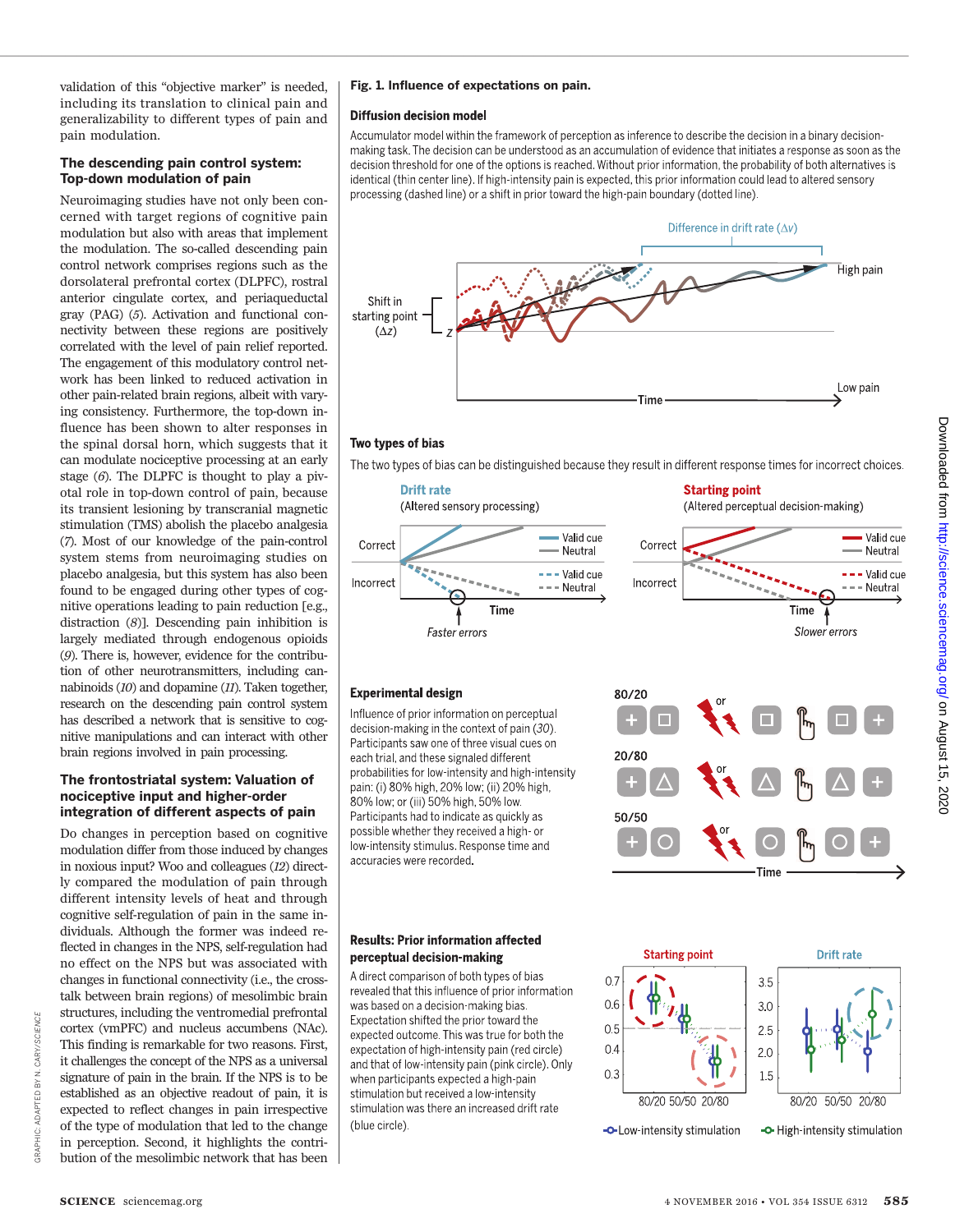validation of this "objective marker" is needed, including its translation to clinical pain and generalizability to different types of pain and pain modulation.

## The descending pain control system: Top-down modulation of pain

Neuroimaging studies have not only been concerned with target regions of cognitive pain modulation but also with areas that implement the modulation. The so-called descending pain control network comprises regions such as the dorsolateral prefrontal cortex (DLPFC), rostral anterior cingulate cortex, and periaqueductal gray (PAG) (5). Activation and functional connectivity between these regions are positively correlated with the level of pain relief reported. The engagement of this modulatory control network has been linked to reduced activation in other pain-related brain regions, albeit with varying consistency. Furthermore, the top-down influence has been shown to alter responses in the spinal dorsal horn, which suggests that it can modulate nociceptive processing at an early stage  $(6)$ . The DLPFC is thought to play a pivotal role in top-down control of pain, because its transient lesioning by transcranial magnetic stimulation (TMS) abolish the placebo analgesia (7). Most of our knowledge of the pain-control system stems from neuroimaging studies on placebo analgesia, but this system has also been found to be engaged during other types of cognitive operations leading to pain reduction [e.g., distraction (8)]. Descending pain inhibition is largely mediated through endogenous opioids (9). There is, however, evidence for the contribution of other neurotransmitters, including cannabinoids (10) and dopamine (11). Taken together, research on the descending pain control system has described a network that is sensitive to cognitive manipulations and can interact with other brain regions involved in pain processing.

## The frontostriatal system: Valuation of nociceptive input and higher-order integration of different aspects of pain

Do changes in perception based on cognitive modulation differ from those induced by changes in noxious input? Woo and colleagues (12) directly compared the modulation of pain through different intensity levels of heat and through cognitive self-regulation of pain in the same individuals. Although the former was indeed reflected in changes in the NPS, self-regulation had no effect on the NPS but was associated with changes in functional connectivity (i.e., the crosstalk between brain regions) of mesolimbic brain structures, including the ventromedial prefrontal cortex (vmPFC) and nucleus accumbens (NAc). This finding is remarkable for two reasons. First, it challenges the concept of the NPS as a universal signature of pain in the brain. If the NPS is to be established as an objective readout of pain, it is expected to reflect changes in pain irrespective of the type of modulation that led to the change in perception. Second, it highlights the contribution of the mesolimbic network that has been

## Fig. 1. Influence of expectations on pain.

## **Diffusion decision model**

Accumulator model within the framework of perception as inference to describe the decision in a binary decisionmaking task. The decision can be understood as an accumulation of evidence that initiates a response as soon as the decision threshold for one of the options is reached. Without prior information, the probability of both alternatives is identical (thin center line). If high-intensity pain is expected, this prior information could lead to altered sensory processing (dashed line) or a shift in prior toward the high-pain boundary (dotted line).



## Two types of bias

The two types of bias can be distinguished because they result in different response times for incorrect choices.

#### **Drift rate Starting point** (Altered sensory processing) (Altered perceptual decision-making) Valid cue Valid cue Correct Correct Neutral Neutral --- Valid cue -- Valid cue Incorrect Incorrect === Neutral == Neutral Time Time Slower errors Faster errors **Experimental design** 80/20 Influence of prior information on perceptual decision-making in the context of pain (30). Participants saw one of three visual cues on 20/80 each trial, and these signaled different probabilities for low-intensity and high-intensity pain: (i) 80% high, 20% low; (ii) 20% high, 80% low; or (iii) 50% high, 50% low. Participants had to indicate as quickly as 50/50 possible whether they received a high-or low-intensity stimulus. Response time and accuracies were recorded. Time **Results: Prior information affected Drift rate Starting point** perceptual decision-making A direct comparison of both types of bias  $0.7$ 3.5 revealed that this influence of prior information was based on a decision-making bias.  $0.6$ 30 Expectation shifted the prior toward the  $0.5$

expected outcome. This was true for both the expectation of high-intensity pain (red circle) and that of low-intensity pain (pink circle). Only when participants expected a high-pain stimulation but received a low-intensity stimulation was there an increased drift rate (blue circle).



GRAPHIC: ADAPTED BY N. CARY/SCIENCE

GRAPHIC:

ADAPTED BY N. CARY/SCIENCE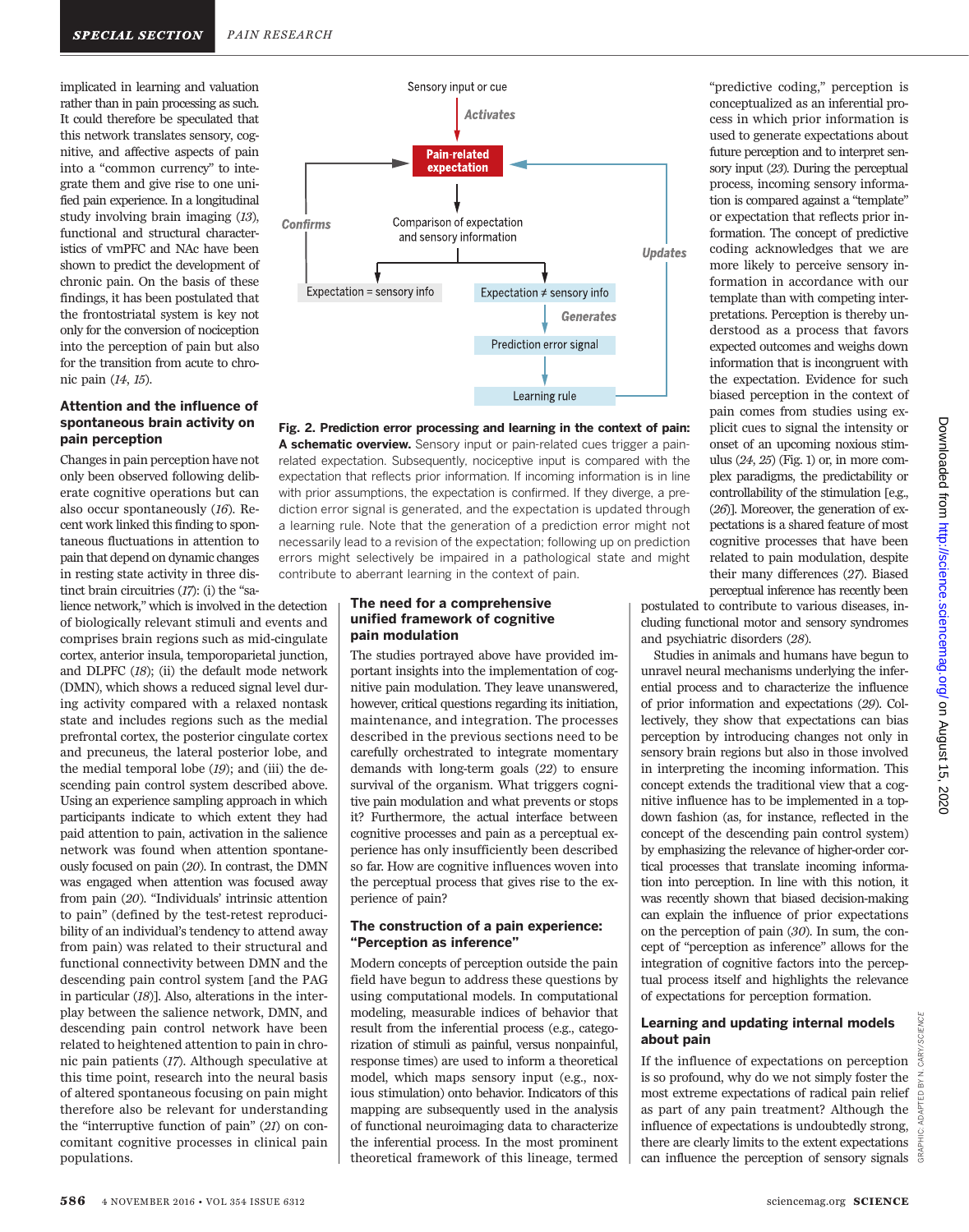implicated in learning and valuation rather than in pain processing as such. It could therefore be speculated that this network translates sensory, cognitive, and affective aspects of pain into a "common currency" to integrate them and give rise to one unified pain experience. In a longitudinal study involving brain imaging (13), functional and structural characteristics of vmPFC and NAc have been shown to predict the development of chronic pain. On the basis of these findings, it has been postulated that the frontostriatal system is key not only for the conversion of nociception into the perception of pain but also for the transition from acute to chronic pain (14, 15).

## Attention and the influence of spontaneous brain activity on pain perception

Changes in pain perception have not only been observed following deliberate cognitive operations but can also occur spontaneously (16). Recent work linked this finding to spontaneous fluctuations in attention to pain that depend on dynamic changes in resting state activity in three distinct brain circuitries (17): (i) the "sa-

lience network," which is involved in the detection of biologically relevant stimuli and events and comprises brain regions such as mid-cingulate cortex, anterior insula, temporoparietal junction, and DLPFC (18); (ii) the default mode network (DMN), which shows a reduced signal level during activity compared with a relaxed nontask state and includes regions such as the medial prefrontal cortex, the posterior cingulate cortex and precuneus, the lateral posterior lobe, and the medial temporal lobe  $(19)$ ; and (iii) the descending pain control system described above. Using an experience sampling approach in which participants indicate to which extent they had paid attention to pain, activation in the salience network was found when attention spontaneously focused on pain (20). In contrast, the DMN was engaged when attention was focused away from pain (20). "Individuals' intrinsic attention to pain" (defined by the test-retest reproducibility of an individual's tendency to attend away from pain) was related to their structural and functional connectivity between DMN and the descending pain control system [and the PAG in particular (18)]. Also, alterations in the interplay between the salience network, DMN, and descending pain control network have been related to heightened attention to pain in chronic pain patients (17). Although speculative at this time point, research into the neural basis of altered spontaneous focusing on pain might therefore also be relevant for understanding the "interruptive function of pain" (21) on concomitant cognitive processes in clinical pain populations.



Fig. 2. Prediction error processing and learning in the context of pain: A schematic overview. Sensory input or pain-related cues trigger a painrelated expectation. Subsequently, nociceptive input is compared with the expectation that reflects prior information. If incoming information is in line with prior assumptions, the expectation is confirmed. If they diverge, a prediction error signal is generated, and the expectation is updated through a learning rule. Note that the generation of a prediction error might not necessarily lead to a revision of the expectation; following up on prediction errors might selectively be impaired in a pathological state and might contribute to aberrant learning in the context of pain.

## The need for a comprehensive unified framework of cognitive pain modulation

The studies portrayed above have provided important insights into the implementation of cognitive pain modulation. They leave unanswered, however, critical questions regarding its initiation, maintenance, and integration. The processes described in the previous sections need to be carefully orchestrated to integrate momentary demands with long-term goals (22) to ensure survival of the organism. What triggers cognitive pain modulation and what prevents or stops it? Furthermore, the actual interface between cognitive processes and pain as a perceptual experience has only insufficiently been described so far. How are cognitive influences woven into the perceptual process that gives rise to the experience of pain?

## The construction of a pain experience: "Perception as inference"

Modern concepts of perception outside the pain field have begun to address these questions by using computational models. In computational modeling, measurable indices of behavior that result from the inferential process (e.g., categorization of stimuli as painful, versus nonpainful, response times) are used to inform a theoretical model, which maps sensory input (e.g., noxious stimulation) onto behavior. Indicators of this mapping are subsequently used in the analysis of functional neuroimaging data to characterize the inferential process. In the most prominent theoretical framework of this lineage, termed

"predictive coding," perception is conceptualized as an inferential process in which prior information is used to generate expectations about future perception and to interpret sensory input (23). During the perceptual process, incoming sensory information is compared against a "template" or expectation that reflects prior information. The concept of predictive coding acknowledges that we are more likely to perceive sensory information in accordance with our template than with competing interpretations. Perception is thereby understood as a process that favors expected outcomes and weighs down information that is incongruent with the expectation. Evidence for such biased perception in the context of pain comes from studies using explicit cues to signal the intensity or onset of an upcoming noxious stimulus (24, 25) (Fig. 1) or, in more complex paradigms, the predictability or controllability of the stimulation [e.g., (26)]. Moreover, the generation of expectations is a shared feature of most cognitive processes that have been related to pain modulation, despite their many differences (27). Biased perceptual inference has recently been

postulated to contribute to various diseases, including functional motor and sensory syndromes and psychiatric disorders (28).

Studies in animals and humans have begun to unravel neural mechanisms underlying the inferential process and to characterize the influence of prior information and expectations (29). Collectively, they show that expectations can bias perception by introducing changes not only in sensory brain regions but also in those involved in interpreting the incoming information. This concept extends the traditional view that a cognitive influence has to be implemented in a topdown fashion (as, for instance, reflected in the concept of the descending pain control system) by emphasizing the relevance of higher-order cortical processes that translate incoming information into perception. In line with this notion, it was recently shown that biased decision-making can explain the influence of prior expectations on the perception of pain (30). In sum, the concept of "perception as inference" allows for the integration of cognitive factors into the perceptual process itself and highlights the relevance of expectations for perception formation.

## Learning and updating internal models about pain

If the influence of expectations on perception  $\frac{a}{5}$ is so profound, why do we not simply foster the most extreme expectations of radical pain relief as part of any pain treatment? Although the influence of expectations is undoubtedly strong, there are clearly limits to the extent expectations can influence the perception of sensory signals  $\frac{3}{6}$ 

GRAPHIC: ADAPTED BY N. CARY/SCIENCE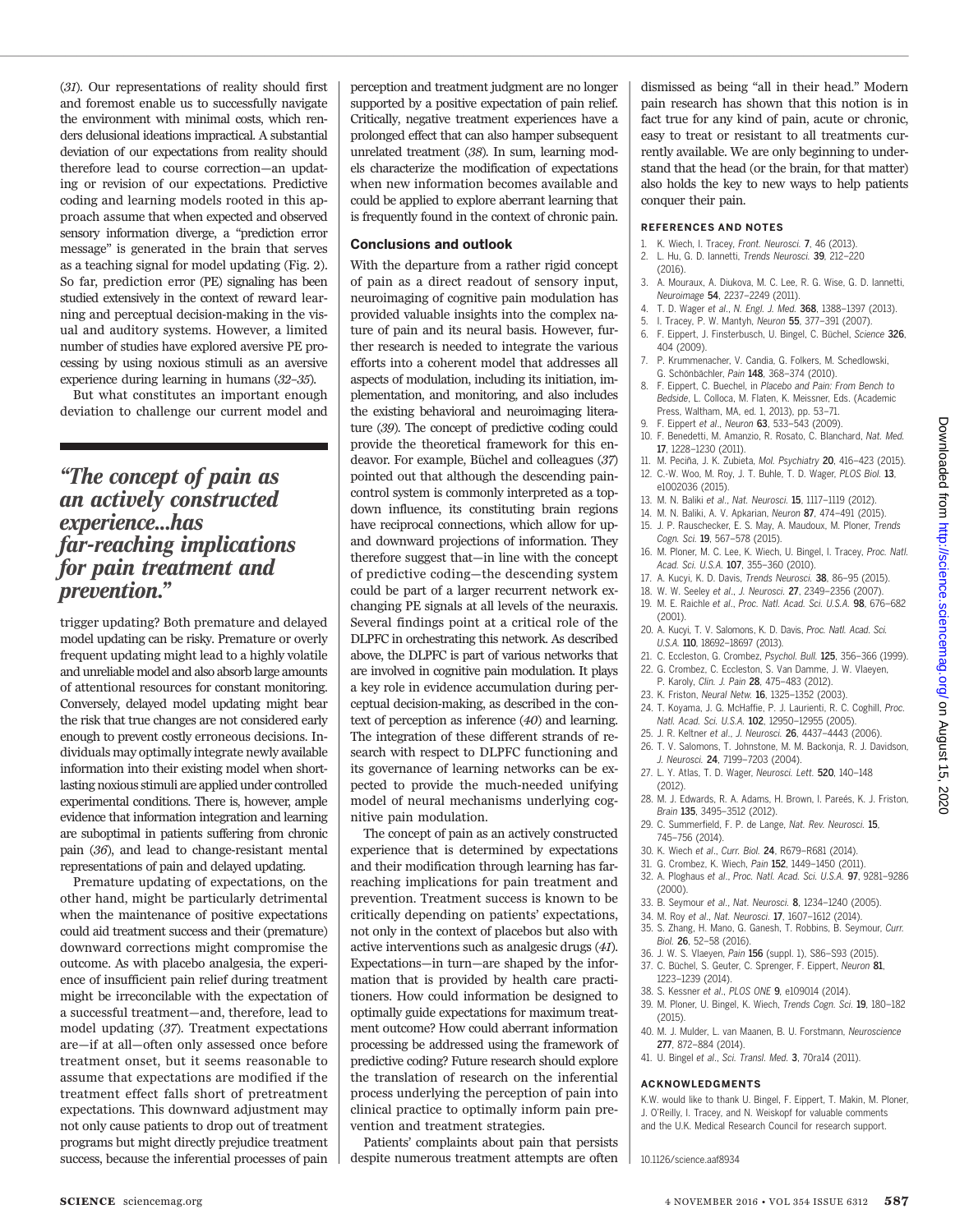(31). Our representations of reality should first and foremost enable us to successfully navigate the environment with minimal costs, which renders delusional ideations impractical. A substantial deviation of our expectations from reality should therefore lead to course correction—an updating or revision of our expectations. Predictive coding and learning models rooted in this approach assume that when expected and observed sensory information diverge, a "prediction error message" is generated in the brain that serves as a teaching signal for model updating (Fig. 2). So far, prediction error (PE) signaling has been studied extensively in the context of reward learning and perceptual decision-making in the visual and auditory systems. However, a limited number of studies have explored aversive PE processing by using noxious stimuli as an aversive experience during learning in humans (32–35).

But what constitutes an important enough deviation to challenge our current model and

# "The concept of pain as an actively constructed experience...has far-reaching implications for pain treatment and prevention."

trigger updating? Both premature and delayed model updating can be risky. Premature or overly frequent updating might lead to a highly volatile and unreliable model and also absorb large amounts of attentional resources for constant monitoring. Conversely, delayed model updating might bear the risk that true changes are not considered early enough to prevent costly erroneous decisions. Individuals may optimally integrate newly available information into their existing model when shortlasting noxious stimuli are applied under controlled experimental conditions. There is, however, ample evidence that information integration and learning are suboptimal in patients suffering from chronic pain (36), and lead to change-resistant mental representations of pain and delayed updating.

Premature updating of expectations, on the other hand, might be particularly detrimental when the maintenance of positive expectations could aid treatment success and their (premature) downward corrections might compromise the outcome. As with placebo analgesia, the experience of insufficient pain relief during treatment might be irreconcilable with the expectation of a successful treatment—and, therefore, lead to model updating (37). Treatment expectations are—if at all—often only assessed once before treatment onset, but it seems reasonable to assume that expectations are modified if the treatment effect falls short of pretreatment expectations. This downward adjustment may not only cause patients to drop out of treatment programs but might directly prejudice treatment success, because the inferential processes of pain perception and treatment judgment are no longer supported by a positive expectation of pain relief. Critically, negative treatment experiences have a prolonged effect that can also hamper subsequent unrelated treatment (38). In sum, learning models characterize the modification of expectations when new information becomes available and could be applied to explore aberrant learning that is frequently found in the context of chronic pain.

## Conclusions and outlook

With the departure from a rather rigid concept of pain as a direct readout of sensory input, neuroimaging of cognitive pain modulation has provided valuable insights into the complex nature of pain and its neural basis. However, further research is needed to integrate the various efforts into a coherent model that addresses all aspects of modulation, including its initiation, implementation, and monitoring, and also includes the existing behavioral and neuroimaging literature (39). The concept of predictive coding could provide the theoretical framework for this endeavor. For example, Büchel and colleagues (37) pointed out that although the descending paincontrol system is commonly interpreted as a topdown influence, its constituting brain regions have reciprocal connections, which allow for upand downward projections of information. They therefore suggest that—in line with the concept of predictive coding—the descending system could be part of a larger recurrent network exchanging PE signals at all levels of the neuraxis. Several findings point at a critical role of the DLPFC in orchestrating this network. As described above, the DLPFC is part of various networks that are involved in cognitive pain modulation. It plays a key role in evidence accumulation during perceptual decision-making, as described in the context of perception as inference (40) and learning. The integration of these different strands of research with respect to DLPFC functioning and its governance of learning networks can be expected to provide the much-needed unifying model of neural mechanisms underlying cognitive pain modulation.

The concept of pain as an actively constructed experience that is determined by expectations and their modification through learning has farreaching implications for pain treatment and prevention. Treatment success is known to be critically depending on patients' expectations, not only in the context of placebos but also with active interventions such as analgesic drugs (41). Expectations—in turn—are shaped by the information that is provided by health care practitioners. How could information be designed to optimally guide expectations for maximum treatment outcome? How could aberrant information processing be addressed using the framework of predictive coding? Future research should explore the translation of research on the inferential process underlying the perception of pain into clinical practice to optimally inform pain prevention and treatment strategies.

Patients' complaints about pain that persists despite numerous treatment attempts are often dismissed as being "all in their head." Modern pain research has shown that this notion is in fact true for any kind of pain, acute or chronic, easy to treat or resistant to all treatments currently available. We are only beginning to understand that the head (or the brain, for that matter) also holds the key to new ways to help patients conquer their pain.

## REFERENCES AND NOTES

- 1. K. Wiech, I. Tracey, Front. Neurosci. 7, 46 (2013).
- 2. L. Hu, G. D. Iannetti, Trends Neurosci. 39, 212–220 (2016).
- 3. A. Mouraux, A. Diukova, M. C. Lee, R. G. Wise, G. D. Iannetti, Neuroimage 54, 2237–2249 (2011).
- T. D. Wager et al., N. Engl. J. Med. 368, 1388-1397 (2013).
- 5. I. Tracey, P. W. Mantyh, Neuron 55, 377–391 (2007).
- 6. F. Eippert, J. Finsterbusch, U. Bingel, C. Büchel, Science 326, 404 (2009).
- 7. P. Krummenacher, V. Candia, G. Folkers, M. Schedlowski, G. Schönbächler, Pain 148, 368–374 (2010).
- 8. F. Eippert, C. Buechel, in Placebo and Pain: From Bench to Bedside, L. Colloca, M. Flaten, K. Meissner, Eds. (Academic Press, Waltham, MA, ed. 1, 2013), pp. 53–71. F. Eippert et al., Neuron 63, 533-543 (2009).
- 10. F. Benedetti, M. Amanzio, R. Rosato, C. Blanchard, Nat. Med.
- 17, 1228–1230 (2011). 11. M. Peciña, J. K. Zubieta, Mol. Psychiatry 20, 416–423 (2015).
- 12. C.-W. Woo, M. Roy, J. T. Buhle, T. D. Wager, PLOS Biol. 13, e1002036 (2015).
- 13. M. N. Baliki et al., Nat. Neurosci. 15, 1117–1119 (2012).
- 14. M. N. Baliki, A. V. Apkarian, Neuron 87, 474–491 (2015).
- 15. J. P. Rauschecker, E. S. May, A. Maudoux, M. Ploner, Trends
- Cogn. Sci. 19, 567–578 (2015). 16. M. Ploner, M. C. Lee, K. Wiech, U. Bingel, I. Tracey, Proc. Natl.
- Acad. Sci. U.S.A. 107, 355–360 (2010).
- 17. A. Kucyi, K. D. Davis, Trends Neurosci. 38, 86–95 (2015).
- 18. W. W. Seeley et al., J. Neurosci. 27, 2349–2356 (2007). 19. M. E. Raichle et al., Proc. Natl. Acad. Sci. U.S.A. 98, 676–682
- (2001).
- 20. A. Kucyi, T. V. Salomons, K. D. Davis, Proc. Natl. Acad. Sci. U.S.A. 110, 18692–18697 (2013).
- 21. C. Eccleston, G. Crombez, Psychol. Bull. 125, 356–366 (1999). 22. G. Crombez, C. Eccleston, S. Van Damme, J. W. Vlaeyen,
- P. Karoly, Clin. J. Pain 28, 475–483 (2012).
- 23. K. Friston, Neural Netw. 16, 1325–1352 (2003).
- 24. T. Koyama, J. G. McHaffie, P. J. Laurienti, R. C. Coghill, Proc. Natl. Acad. Sci. U.S.A. 102, 12950–12955 (2005).
- 25. J. R. Keltner et al., J. Neurosci. 26, 4437–4443 (2006).
- 26. T. V. Salomons, T. Johnstone, M. M. Backonja, R. J. Davidson, J. Neurosci. 24, 7199–7203 (2004).
- 27. L. Y. Atlas, T. D. Wager, Neurosci. Lett. 520, 140–148  $(2012)$
- 28. M. J. Edwards, R. A. Adams, H. Brown, I. Pareés, K. J. Friston, Brain 135, 3495–3512 (2012).
- 29. C. Summerfield, F. P. de Lange, Nat. Rev. Neurosci. 15, 745–756 (2014).
- 30. K. Wiech et al., Curr. Biol. 24, R679–R681 (2014).
- 31. G. Crombez, K. Wiech, Pain 152, 1449–1450 (2011).
- 32. A. Ploghaus et al., Proc. Natl. Acad. Sci. U.S.A. 97, 9281–9286 (2000).
- 33. B. Seymour et al., Nat. Neurosci. 8, 1234–1240 (2005).
- 34. M. Roy et al., Nat. Neurosci. 17, 1607–1612 (2014).
- 35. S. Zhang, H. Mano, G. Ganesh, T. Robbins, B. Seymour, Curr. Biol. 26, 52–58 (2016).
- 36. J. W. S. Vlaeyen, Pain 156 (suppl. 1), S86–S93 (2015). 37. C. Büchel, S. Geuter, C. Sprenger, F. Eippert, Neuron 81,
- 1223–1239 (2014).
- 38. S. Kessner et al., PLOS ONE 9, e109014 (2014).
- 39. M. Ploner, U. Bingel, K. Wiech, Trends Cogn. Sci. 19, 180–182 (2015).
- 40. M. J. Mulder, L. van Maanen, B. U. Forstmann, Neuroscience 277, 872–884 (2014).
- 41. U. Bingel et al., Sci. Transl. Med. 3, 70ra14 (2011).

## ACKNOWLEDGMENTS

K.W. would like to thank U. Bingel, F. Eippert, T. Makin, M. Ploner, J. O'Reilly, I. Tracey, and N. Weiskopf for valuable comments and the U.K. Medical Research Council for research support.

10.1126/science.aaf8934